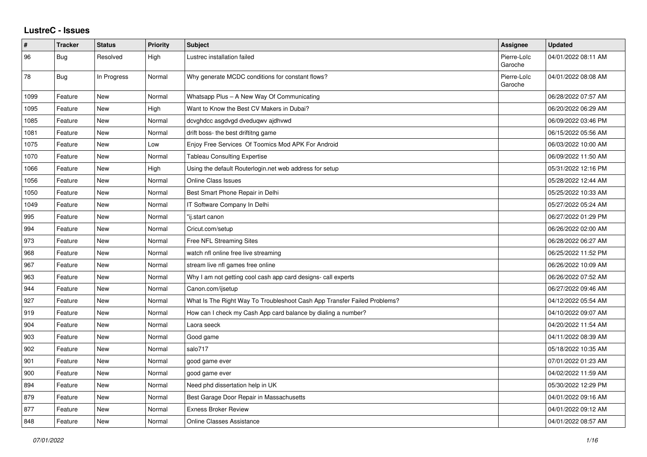## **LustreC - Issues**

| $\pmb{\#}$ | <b>Tracker</b> | <b>Status</b> | <b>Priority</b> | <b>Subject</b>                                                           | Assignee               | <b>Updated</b>      |
|------------|----------------|---------------|-----------------|--------------------------------------------------------------------------|------------------------|---------------------|
| 96         | Bug            | Resolved      | High            | Lustrec installation failed                                              | Pierre-Loïc<br>Garoche | 04/01/2022 08:11 AM |
| 78         | <b>Bug</b>     | In Progress   | Normal          | Why generate MCDC conditions for constant flows?                         | Pierre-Loïc<br>Garoche | 04/01/2022 08:08 AM |
| 1099       | Feature        | New           | Normal          | Whatsapp Plus - A New Way Of Communicating                               |                        | 06/28/2022 07:57 AM |
| 1095       | Feature        | <b>New</b>    | High            | Want to Know the Best CV Makers in Dubai?                                |                        | 06/20/2022 06:29 AM |
| 1085       | Feature        | <b>New</b>    | Normal          | dcvghdcc asgdvgd dveduqwv ajdhvwd                                        |                        | 06/09/2022 03:46 PM |
| 1081       | Feature        | New           | Normal          | drift boss- the best driftitng game                                      |                        | 06/15/2022 05:56 AM |
| 1075       | Feature        | New           | Low             | Enjoy Free Services Of Toomics Mod APK For Android                       |                        | 06/03/2022 10:00 AM |
| 1070       | Feature        | New           | Normal          | <b>Tableau Consulting Expertise</b>                                      |                        | 06/09/2022 11:50 AM |
| 1066       | Feature        | New           | High            | Using the default Routerlogin.net web address for setup                  |                        | 05/31/2022 12:16 PM |
| 1056       | Feature        | New           | Normal          | <b>Online Class Issues</b>                                               |                        | 05/28/2022 12:44 AM |
| 1050       | Feature        | <b>New</b>    | Normal          | Best Smart Phone Repair in Delhi                                         |                        | 05/25/2022 10:33 AM |
| 1049       | Feature        | New           | Normal          | IT Software Company In Delhi                                             |                        | 05/27/2022 05:24 AM |
| 995        | Feature        | New           | Normal          | "ij.start canon                                                          |                        | 06/27/2022 01:29 PM |
| 994        | Feature        | New           | Normal          | Cricut.com/setup                                                         |                        | 06/26/2022 02:00 AM |
| 973        | Feature        | <b>New</b>    | Normal          | Free NFL Streaming Sites                                                 |                        | 06/28/2022 06:27 AM |
| 968        | Feature        | New           | Normal          | watch nfl online free live streaming                                     |                        | 06/25/2022 11:52 PM |
| 967        | Feature        | <b>New</b>    | Normal          | stream live nfl games free online                                        |                        | 06/26/2022 10:09 AM |
| 963        | Feature        | New           | Normal          | Why I am not getting cool cash app card designs- call experts            |                        | 06/26/2022 07:52 AM |
| 944        | Feature        | New           | Normal          | Canon.com/ijsetup                                                        |                        | 06/27/2022 09:46 AM |
| 927        | Feature        | <b>New</b>    | Normal          | What Is The Right Way To Troubleshoot Cash App Transfer Failed Problems? |                        | 04/12/2022 05:54 AM |
| 919        | Feature        | <b>New</b>    | Normal          | How can I check my Cash App card balance by dialing a number?            |                        | 04/10/2022 09:07 AM |
| 904        | Feature        | New           | Normal          | Laora seeck                                                              |                        | 04/20/2022 11:54 AM |
| 903        | Feature        | <b>New</b>    | Normal          | Good game                                                                |                        | 04/11/2022 08:39 AM |
| 902        | Feature        | New           | Normal          | salo717                                                                  |                        | 05/18/2022 10:35 AM |
| 901        | Feature        | New           | Normal          | good game ever                                                           |                        | 07/01/2022 01:23 AM |
| 900        | Feature        | New           | Normal          | good game ever                                                           |                        | 04/02/2022 11:59 AM |
| 894        | Feature        | <b>New</b>    | Normal          | Need phd dissertation help in UK                                         |                        | 05/30/2022 12:29 PM |
| 879        | Feature        | New           | Normal          | Best Garage Door Repair in Massachusetts                                 |                        | 04/01/2022 09:16 AM |
| 877        | Feature        | <b>New</b>    | Normal          | <b>Exness Broker Review</b>                                              |                        | 04/01/2022 09:12 AM |
| 848        | Feature        | New           | Normal          | <b>Online Classes Assistance</b>                                         |                        | 04/01/2022 08:57 AM |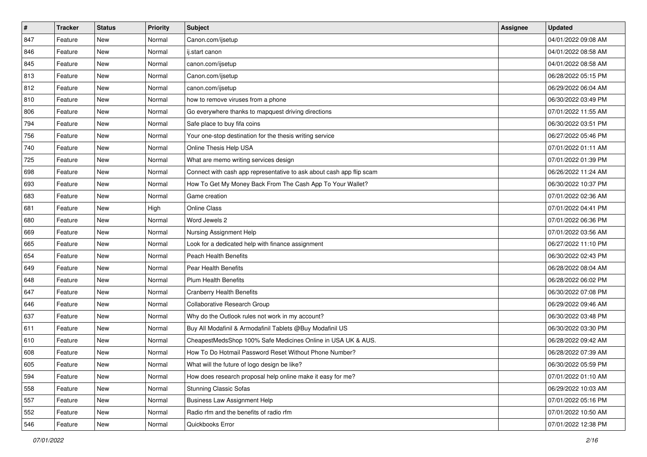| $\sharp$ | <b>Tracker</b> | <b>Status</b> | <b>Priority</b> | <b>Subject</b>                                                       | <b>Assignee</b> | <b>Updated</b>      |
|----------|----------------|---------------|-----------------|----------------------------------------------------------------------|-----------------|---------------------|
| 847      | Feature        | New           | Normal          | Canon.com/ijsetup                                                    |                 | 04/01/2022 09:08 AM |
| 846      | Feature        | <b>New</b>    | Normal          | ij.start canon                                                       |                 | 04/01/2022 08:58 AM |
| 845      | Feature        | New           | Normal          | canon.com/ijsetup                                                    |                 | 04/01/2022 08:58 AM |
| 813      | Feature        | New           | Normal          | Canon.com/ijsetup                                                    |                 | 06/28/2022 05:15 PM |
| 812      | Feature        | <b>New</b>    | Normal          | canon.com/ijsetup                                                    |                 | 06/29/2022 06:04 AM |
| 810      | Feature        | New           | Normal          | how to remove viruses from a phone                                   |                 | 06/30/2022 03:49 PM |
| 806      | Feature        | New           | Normal          | Go everywhere thanks to mapquest driving directions                  |                 | 07/01/2022 11:55 AM |
| 794      | Feature        | New           | Normal          | Safe place to buy fifa coins                                         |                 | 06/30/2022 03:51 PM |
| 756      | Feature        | New           | Normal          | Your one-stop destination for the thesis writing service             |                 | 06/27/2022 05:46 PM |
| 740      | Feature        | <b>New</b>    | Normal          | Online Thesis Help USA                                               |                 | 07/01/2022 01:11 AM |
| 725      | Feature        | New           | Normal          | What are memo writing services design                                |                 | 07/01/2022 01:39 PM |
| 698      | Feature        | New           | Normal          | Connect with cash app representative to ask about cash app flip scam |                 | 06/26/2022 11:24 AM |
| 693      | Feature        | New           | Normal          | How To Get My Money Back From The Cash App To Your Wallet?           |                 | 06/30/2022 10:37 PM |
| 683      | Feature        | New           | Normal          | Game creation                                                        |                 | 07/01/2022 02:36 AM |
| 681      | Feature        | <b>New</b>    | High            | Online Class                                                         |                 | 07/01/2022 04:41 PM |
| 680      | Feature        | New           | Normal          | Word Jewels 2                                                        |                 | 07/01/2022 06:36 PM |
| 669      | Feature        | New           | Normal          | Nursing Assignment Help                                              |                 | 07/01/2022 03:56 AM |
| 665      | Feature        | New           | Normal          | Look for a dedicated help with finance assignment                    |                 | 06/27/2022 11:10 PM |
| 654      | Feature        | New           | Normal          | Peach Health Benefits                                                |                 | 06/30/2022 02:43 PM |
| 649      | Feature        | New           | Normal          | Pear Health Benefits                                                 |                 | 06/28/2022 08:04 AM |
| 648      | Feature        | New           | Normal          | <b>Plum Health Benefits</b>                                          |                 | 06/28/2022 06:02 PM |
| 647      | Feature        | New           | Normal          | <b>Cranberry Health Benefits</b>                                     |                 | 06/30/2022 07:08 PM |
| 646      | Feature        | <b>New</b>    | Normal          | Collaborative Research Group                                         |                 | 06/29/2022 09:46 AM |
| 637      | Feature        | New           | Normal          | Why do the Outlook rules not work in my account?                     |                 | 06/30/2022 03:48 PM |
| 611      | Feature        | New           | Normal          | Buy All Modafinil & Armodafinil Tablets @Buy Modafinil US            |                 | 06/30/2022 03:30 PM |
| 610      | Feature        | New           | Normal          | CheapestMedsShop 100% Safe Medicines Online in USA UK & AUS.         |                 | 06/28/2022 09:42 AM |
| 608      | Feature        | New           | Normal          | How To Do Hotmail Password Reset Without Phone Number?               |                 | 06/28/2022 07:39 AM |
| 605      | Feature        | New           | Normal          | What will the future of logo design be like?                         |                 | 06/30/2022 05:59 PM |
| 594      | Feature        | New           | Normal          | How does research proposal help online make it easy for me?          |                 | 07/01/2022 01:10 AM |
| 558      | Feature        | New           | Normal          | <b>Stunning Classic Sofas</b>                                        |                 | 06/29/2022 10:03 AM |
| 557      | Feature        | New           | Normal          | <b>Business Law Assignment Help</b>                                  |                 | 07/01/2022 05:16 PM |
| 552      | Feature        | New           | Normal          | Radio rfm and the benefits of radio rfm                              |                 | 07/01/2022 10:50 AM |
| 546      | Feature        | New           | Normal          | Quickbooks Error                                                     |                 | 07/01/2022 12:38 PM |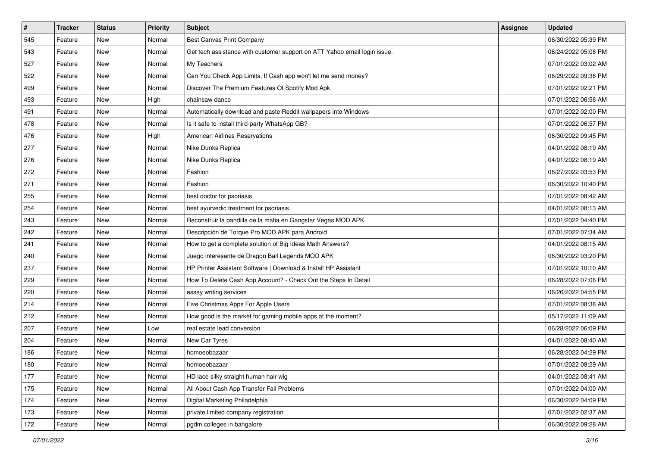| $\sharp$ | <b>Tracker</b> | <b>Status</b> | <b>Priority</b> | Subject                                                                   | <b>Assignee</b> | <b>Updated</b>      |
|----------|----------------|---------------|-----------------|---------------------------------------------------------------------------|-----------------|---------------------|
| 545      | Feature        | New           | Normal          | <b>Best Canvas Print Company</b>                                          |                 | 06/30/2022 05:39 PM |
| 543      | Feature        | New           | Normal          | Get tech assistance with customer support on ATT Yahoo email login issue. |                 | 06/24/2022 05:08 PM |
| 527      | Feature        | New           | Normal          | My Teachers                                                               |                 | 07/01/2022 03:02 AM |
| 522      | Feature        | New           | Normal          | Can You Check App Limits, If Cash app won't let me send money?            |                 | 06/29/2022 09:36 PM |
| 499      | Feature        | <b>New</b>    | Normal          | Discover The Premium Features Of Spotify Mod Apk                          |                 | 07/01/2022 02:21 PM |
| 493      | Feature        | New           | High            | chainsaw dance                                                            |                 | 07/01/2022 06:56 AM |
| 491      | Feature        | New           | Normal          | Automatically download and paste Reddit wallpapers into Windows           |                 | 07/01/2022 02:00 PM |
| 478      | Feature        | New           | Normal          | Is it safe to install third-party WhatsApp GB?                            |                 | 07/01/2022 06:57 PM |
| 476      | Feature        | New           | High            | <b>American Airlines Reservations</b>                                     |                 | 06/30/2022 09:45 PM |
| 277      | Feature        | New           | Normal          | Nike Dunks Replica                                                        |                 | 04/01/2022 08:19 AM |
| 276      | Feature        | New           | Normal          | Nike Dunks Replica                                                        |                 | 04/01/2022 08:19 AM |
| 272      | Feature        | New           | Normal          | Fashion                                                                   |                 | 06/27/2022 03:53 PM |
| 271      | Feature        | New           | Normal          | Fashion                                                                   |                 | 06/30/2022 10:40 PM |
| 255      | Feature        | New           | Normal          | best doctor for psoriasis                                                 |                 | 07/01/2022 08:42 AM |
| 254      | Feature        | New           | Normal          | best ayurvedic treatment for psoriasis                                    |                 | 04/01/2022 08:13 AM |
| 243      | Feature        | New           | Normal          | Reconstruir la pandilla de la mafia en Gangstar Vegas MOD APK             |                 | 07/01/2022 04:40 PM |
| 242      | Feature        | New           | Normal          | Descripción de Torque Pro MOD APK para Android                            |                 | 07/01/2022 07:34 AM |
| 241      | Feature        | <b>New</b>    | Normal          | How to get a complete solution of Big Ideas Math Answers?                 |                 | 04/01/2022 08:15 AM |
| 240      | Feature        | New           | Normal          | Juego interesante de Dragon Ball Legends MOD APK                          |                 | 06/30/2022 03:20 PM |
| 237      | Feature        | New           | Normal          | HP Printer Assistant Software   Download & Install HP Assistant           |                 | 07/01/2022 10:10 AM |
| 229      | Feature        | New           | Normal          | How To Delete Cash App Account? - Check Out the Steps In Detail           |                 | 06/28/2022 07:06 PM |
| 220      | Feature        | New           | Normal          | essay writing services                                                    |                 | 06/26/2022 04:55 PM |
| 214      | Feature        | New           | Normal          | Five Christmas Apps For Apple Users                                       |                 | 07/01/2022 08:38 AM |
| 212      | Feature        | New           | Normal          | How good is the market for gaming mobile apps at the moment?              |                 | 05/17/2022 11:09 AM |
| 207      | Feature        | New           | Low             | real estate lead conversion                                               |                 | 06/28/2022 06:09 PM |
| 204      | Feature        | New           | Normal          | New Car Tyres                                                             |                 | 04/01/2022 08:40 AM |
| 186      | Feature        | New           | Normal          | homoeobazaar                                                              |                 | 06/28/2022 04:29 PM |
| 180      | Feature        | New           | Normal          | homoeobazaar                                                              |                 | 07/01/2022 08:29 AM |
| 177      | Feature        | New           | Normal          | HD lace silky straight human hair wig                                     |                 | 04/01/2022 08:41 AM |
| 175      | Feature        | New           | Normal          | All About Cash App Transfer Fail Problems                                 |                 | 07/01/2022 04:00 AM |
| 174      | Feature        | New           | Normal          | Digital Marketing Philadelphia                                            |                 | 06/30/2022 04:09 PM |
| 173      | Feature        | New           | Normal          | private limited company registration                                      |                 | 07/01/2022 02:37 AM |
| 172      | Feature        | New           | Normal          | pgdm colleges in bangalore                                                |                 | 06/30/2022 09:28 AM |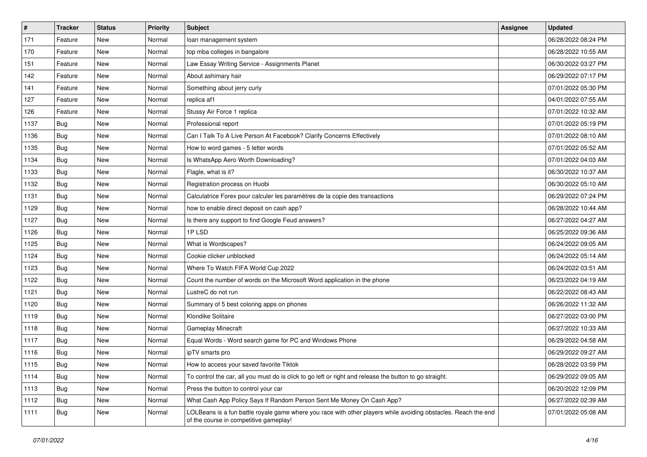| $\pmb{\#}$ | <b>Tracker</b> | <b>Status</b> | <b>Priority</b> | Subject                                                                                                                                                  | Assignee | <b>Updated</b>      |
|------------|----------------|---------------|-----------------|----------------------------------------------------------------------------------------------------------------------------------------------------------|----------|---------------------|
| 171        | Feature        | New           | Normal          | loan management system                                                                                                                                   |          | 06/28/2022 08:24 PM |
| 170        | Feature        | <b>New</b>    | Normal          | top mba colleges in bangalore                                                                                                                            |          | 06/28/2022 10:55 AM |
| 151        | Feature        | New           | Normal          | Law Essay Writing Service - Assignments Planet                                                                                                           |          | 06/30/2022 03:27 PM |
| 142        | Feature        | New           | Normal          | About ashimary hair                                                                                                                                      |          | 06/29/2022 07:17 PM |
| 141        | Feature        | New           | Normal          | Something about jerry curly                                                                                                                              |          | 07/01/2022 05:30 PM |
| 127        | Feature        | New           | Normal          | replica af1                                                                                                                                              |          | 04/01/2022 07:55 AM |
| 126        | Feature        | New           | Normal          | Stussy Air Force 1 replica                                                                                                                               |          | 07/01/2022 10:32 AM |
| 1137       | Bug            | New           | Normal          | Professional report                                                                                                                                      |          | 07/01/2022 05:19 PM |
| 1136       | Bug            | New           | Normal          | Can I Talk To A Live Person At Facebook? Clarify Concerns Effectively                                                                                    |          | 07/01/2022 08:10 AM |
| 1135       | Bug            | <b>New</b>    | Normal          | How to word games - 5 letter words                                                                                                                       |          | 07/01/2022 05:52 AM |
| 1134       | Bug            | New           | Normal          | Is WhatsApp Aero Worth Downloading?                                                                                                                      |          | 07/01/2022 04:03 AM |
| 1133       | Bug            | New           | Normal          | Flagle, what is it?                                                                                                                                      |          | 06/30/2022 10:37 AM |
| 1132       | Bug            | New           | Normal          | Registration process on Huobi                                                                                                                            |          | 06/30/2022 05:10 AM |
| 1131       | Bug            | New           | Normal          | Calculatrice Forex pour calculer les paramètres de la copie des transactions                                                                             |          | 06/29/2022 07:24 PM |
| 1129       | Bug            | New           | Normal          | how to enable direct deposit on cash app?                                                                                                                |          | 06/28/2022 10:44 AM |
| 1127       | Bug            | New           | Normal          | Is there any support to find Google Feud answers?                                                                                                        |          | 06/27/2022 04:27 AM |
| 1126       | Bug            | New           | Normal          | 1PLSD                                                                                                                                                    |          | 06/25/2022 09:36 AM |
| 1125       | Bug            | New           | Normal          | What is Wordscapes?                                                                                                                                      |          | 06/24/2022 09:05 AM |
| 1124       | Bug            | New           | Normal          | Cookie clicker unblocked                                                                                                                                 |          | 06/24/2022 05:14 AM |
| 1123       | Bug            | <b>New</b>    | Normal          | Where To Watch FIFA World Cup 2022                                                                                                                       |          | 06/24/2022 03:51 AM |
| 1122       | Bug            | New           | Normal          | Count the number of words on the Microsoft Word application in the phone                                                                                 |          | 06/23/2022 04:19 AM |
| 1121       | Bug            | <b>New</b>    | Normal          | LustreC do not run                                                                                                                                       |          | 06/22/2022 08:43 AM |
| 1120       | Bug            | New           | Normal          | Summary of 5 best coloring apps on phones                                                                                                                |          | 06/26/2022 11:32 AM |
| 1119       | Bug            | New           | Normal          | Klondike Solitaire                                                                                                                                       |          | 06/27/2022 03:00 PM |
| 1118       | Bug            | New           | Normal          | Gameplay Minecraft                                                                                                                                       |          | 06/27/2022 10:33 AM |
| 1117       | Bug            | New           | Normal          | Equal Words - Word search game for PC and Windows Phone                                                                                                  |          | 06/29/2022 04:58 AM |
| 1116       | Bug            | New           | Normal          | ipTV smarts pro                                                                                                                                          |          | 06/29/2022 09:27 AM |
| 1115       | <b>Bug</b>     | New           | Normal          | How to access your saved favorite Tiktok                                                                                                                 |          | 06/28/2022 03:59 PM |
| 1114       | Bug            | New           | Normal          | To control the car, all you must do is click to go left or right and release the button to go straight.                                                  |          | 06/29/2022 09:05 AM |
| 1113       | Bug            | New           | Normal          | Press the button to control your car                                                                                                                     |          | 06/20/2022 12:09 PM |
| 1112       | Bug            | New           | Normal          | What Cash App Policy Says If Random Person Sent Me Money On Cash App?                                                                                    |          | 06/27/2022 02:39 AM |
| 1111       | <b>Bug</b>     | New           | Normal          | LOLBeans is a fun battle royale game where you race with other players while avoiding obstacles. Reach the end<br>of the course in competitive gameplay! |          | 07/01/2022 05:08 AM |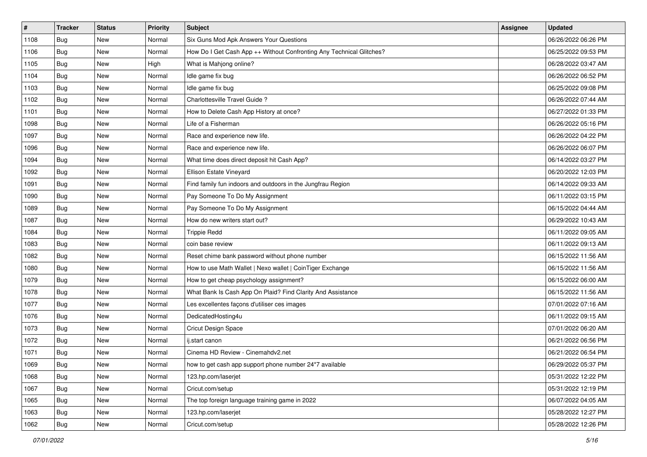| #    | <b>Tracker</b> | <b>Status</b> | <b>Priority</b> | Subject                                                              | <b>Assignee</b> | <b>Updated</b>      |
|------|----------------|---------------|-----------------|----------------------------------------------------------------------|-----------------|---------------------|
| 1108 | Bug            | New           | Normal          | Six Guns Mod Apk Answers Your Questions                              |                 | 06/26/2022 06:26 PM |
| 1106 | Bug            | <b>New</b>    | Normal          | How Do I Get Cash App ++ Without Confronting Any Technical Glitches? |                 | 06/25/2022 09:53 PM |
| 1105 | Bug            | New           | High            | What is Mahjong online?                                              |                 | 06/28/2022 03:47 AM |
| 1104 | <b>Bug</b>     | <b>New</b>    | Normal          | Idle game fix bug                                                    |                 | 06/26/2022 06:52 PM |
| 1103 | Bug            | <b>New</b>    | Normal          | Idle game fix bug                                                    |                 | 06/25/2022 09:08 PM |
| 1102 | Bug            | New           | Normal          | Charlottesville Travel Guide?                                        |                 | 06/26/2022 07:44 AM |
| 1101 | Bug            | New           | Normal          | How to Delete Cash App History at once?                              |                 | 06/27/2022 01:33 PM |
| 1098 | <b>Bug</b>     | New           | Normal          | Life of a Fisherman                                                  |                 | 06/26/2022 05:16 PM |
| 1097 | Bug            | New           | Normal          | Race and experience new life.                                        |                 | 06/26/2022 04:22 PM |
| 1096 | Bug            | <b>New</b>    | Normal          | Race and experience new life.                                        |                 | 06/26/2022 06:07 PM |
| 1094 | Bug            | New           | Normal          | What time does direct deposit hit Cash App?                          |                 | 06/14/2022 03:27 PM |
| 1092 | Bug            | New           | Normal          | Ellison Estate Vineyard                                              |                 | 06/20/2022 12:03 PM |
| 1091 | Bug            | <b>New</b>    | Normal          | Find family fun indoors and outdoors in the Jungfrau Region          |                 | 06/14/2022 09:33 AM |
| 1090 | <b>Bug</b>     | New           | Normal          | Pay Someone To Do My Assignment                                      |                 | 06/11/2022 03:15 PM |
| 1089 | Bug            | <b>New</b>    | Normal          | Pay Someone To Do My Assignment                                      |                 | 06/15/2022 04:44 AM |
| 1087 | Bug            | New           | Normal          | How do new writers start out?                                        |                 | 06/29/2022 10:43 AM |
| 1084 | <b>Bug</b>     | <b>New</b>    | Normal          | <b>Trippie Redd</b>                                                  |                 | 06/11/2022 09:05 AM |
| 1083 | Bug            | New           | Normal          | coin base review                                                     |                 | 06/11/2022 09:13 AM |
| 1082 | <b>Bug</b>     | New           | Normal          | Reset chime bank password without phone number                       |                 | 06/15/2022 11:56 AM |
| 1080 | Bug            | New           | Normal          | How to use Math Wallet   Nexo wallet   CoinTiger Exchange            |                 | 06/15/2022 11:56 AM |
| 1079 | Bug            | New           | Normal          | How to get cheap psychology assignment?                              |                 | 06/15/2022 06:00 AM |
| 1078 | Bug            | New           | Normal          | What Bank Is Cash App On Plaid? Find Clarity And Assistance          |                 | 06/15/2022 11:56 AM |
| 1077 | Bug            | <b>New</b>    | Normal          | Les excellentes façons d'utiliser ces images                         |                 | 07/01/2022 07:16 AM |
| 1076 | <b>Bug</b>     | New           | Normal          | DedicatedHosting4u                                                   |                 | 06/11/2022 09:15 AM |
| 1073 | Bug            | New           | Normal          | Cricut Design Space                                                  |                 | 07/01/2022 06:20 AM |
| 1072 | Bug            | <b>New</b>    | Normal          | ij.start canon                                                       |                 | 06/21/2022 06:56 PM |
| 1071 | <b>Bug</b>     | <b>New</b>    | Normal          | Cinema HD Review - Cinemahdv2.net                                    |                 | 06/21/2022 06:54 PM |
| 1069 | <b>Bug</b>     | New           | Normal          | how to get cash app support phone number 24*7 available              |                 | 06/29/2022 05:37 PM |
| 1068 | Bug            | New           | Normal          | 123.hp.com/laserjet                                                  |                 | 05/31/2022 12:22 PM |
| 1067 | <b>Bug</b>     | New           | Normal          | Cricut.com/setup                                                     |                 | 05/31/2022 12:19 PM |
| 1065 | Bug            | New           | Normal          | The top foreign language training game in 2022                       |                 | 06/07/2022 04:05 AM |
| 1063 | <b>Bug</b>     | New           | Normal          | 123.hp.com/laserjet                                                  |                 | 05/28/2022 12:27 PM |
| 1062 | Bug            | New           | Normal          | Cricut.com/setup                                                     |                 | 05/28/2022 12:26 PM |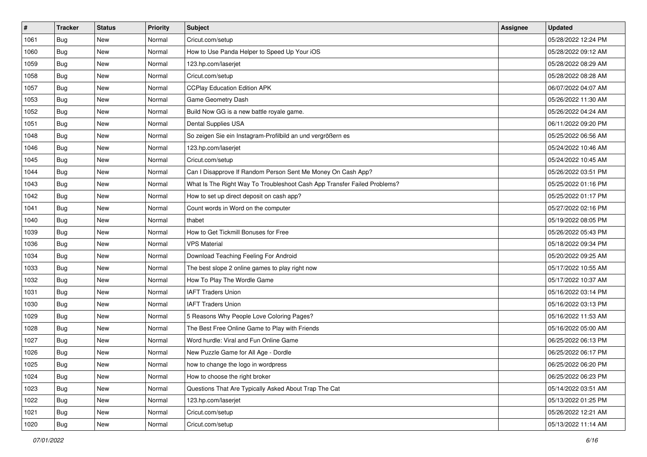| #    | <b>Tracker</b> | <b>Status</b> | <b>Priority</b> | Subject                                                                  | <b>Assignee</b> | <b>Updated</b>      |
|------|----------------|---------------|-----------------|--------------------------------------------------------------------------|-----------------|---------------------|
| 1061 | <b>Bug</b>     | New           | Normal          | Cricut.com/setup                                                         |                 | 05/28/2022 12:24 PM |
| 1060 | Bug            | <b>New</b>    | Normal          | How to Use Panda Helper to Speed Up Your iOS                             |                 | 05/28/2022 09:12 AM |
| 1059 | Bug            | New           | Normal          | 123.hp.com/laserjet                                                      |                 | 05/28/2022 08:29 AM |
| 1058 | Bug            | <b>New</b>    | Normal          | Cricut.com/setup                                                         |                 | 05/28/2022 08:28 AM |
| 1057 | Bug            | <b>New</b>    | Normal          | <b>CCPlay Education Edition APK</b>                                      |                 | 06/07/2022 04:07 AM |
| 1053 | Bug            | New           | Normal          | Game Geometry Dash                                                       |                 | 05/26/2022 11:30 AM |
| 1052 | <b>Bug</b>     | New           | Normal          | Build Now GG is a new battle royale game.                                |                 | 05/26/2022 04:24 AM |
| 1051 | Bug            | New           | Normal          | Dental Supplies USA                                                      |                 | 06/11/2022 09:20 PM |
| 1048 | <b>Bug</b>     | New           | Normal          | So zeigen Sie ein Instagram-Profilbild an und vergrößern es              |                 | 05/25/2022 06:56 AM |
| 1046 | Bug            | <b>New</b>    | Normal          | 123.hp.com/laserjet                                                      |                 | 05/24/2022 10:46 AM |
| 1045 | Bug            | New           | Normal          | Cricut.com/setup                                                         |                 | 05/24/2022 10:45 AM |
| 1044 | Bug            | New           | Normal          | Can I Disapprove If Random Person Sent Me Money On Cash App?             |                 | 05/26/2022 03:51 PM |
| 1043 | Bug            | <b>New</b>    | Normal          | What Is The Right Way To Troubleshoot Cash App Transfer Failed Problems? |                 | 05/25/2022 01:16 PM |
| 1042 | Bug            | <b>New</b>    | Normal          | How to set up direct deposit on cash app?                                |                 | 05/25/2022 01:17 PM |
| 1041 | <b>Bug</b>     | <b>New</b>    | Normal          | Count words in Word on the computer                                      |                 | 05/27/2022 02:16 PM |
| 1040 | <b>Bug</b>     | New           | Normal          | thabet                                                                   |                 | 05/19/2022 08:05 PM |
| 1039 | Bug            | <b>New</b>    | Normal          | How to Get Tickmill Bonuses for Free                                     |                 | 05/26/2022 05:43 PM |
| 1036 | Bug            | <b>New</b>    | Normal          | <b>VPS Material</b>                                                      |                 | 05/18/2022 09:34 PM |
| 1034 | <b>Bug</b>     | New           | Normal          | Download Teaching Feeling For Android                                    |                 | 05/20/2022 09:25 AM |
| 1033 | Bug            | <b>New</b>    | Normal          | The best slope 2 online games to play right now                          |                 | 05/17/2022 10:55 AM |
| 1032 | Bug            | New           | Normal          | How To Play The Wordle Game                                              |                 | 05/17/2022 10:37 AM |
| 1031 | <b>Bug</b>     | New           | Normal          | <b>IAFT Traders Union</b>                                                |                 | 05/16/2022 03:14 PM |
| 1030 | Bug            | <b>New</b>    | Normal          | <b>IAFT Traders Union</b>                                                |                 | 05/16/2022 03:13 PM |
| 1029 | <b>Bug</b>     | New           | Normal          | 5 Reasons Why People Love Coloring Pages?                                |                 | 05/16/2022 11:53 AM |
| 1028 | Bug            | New           | Normal          | The Best Free Online Game to Play with Friends                           |                 | 05/16/2022 05:00 AM |
| 1027 | Bug            | <b>New</b>    | Normal          | Word hurdle: Viral and Fun Online Game                                   |                 | 06/25/2022 06:13 PM |
| 1026 | Bug            | New           | Normal          | New Puzzle Game for All Age - Dordle                                     |                 | 06/25/2022 06:17 PM |
| 1025 | Bug            | New           | Normal          | how to change the logo in wordpress                                      |                 | 06/25/2022 06:20 PM |
| 1024 | Bug            | New           | Normal          | How to choose the right broker                                           |                 | 06/25/2022 06:23 PM |
| 1023 | Bug            | New           | Normal          | Questions That Are Typically Asked About Trap The Cat                    |                 | 05/14/2022 03:51 AM |
| 1022 | Bug            | New           | Normal          | 123.hp.com/laserjet                                                      |                 | 05/13/2022 01:25 PM |
| 1021 | <b>Bug</b>     | New           | Normal          | Cricut.com/setup                                                         |                 | 05/26/2022 12:21 AM |
| 1020 | <b>Bug</b>     | New           | Normal          | Cricut.com/setup                                                         |                 | 05/13/2022 11:14 AM |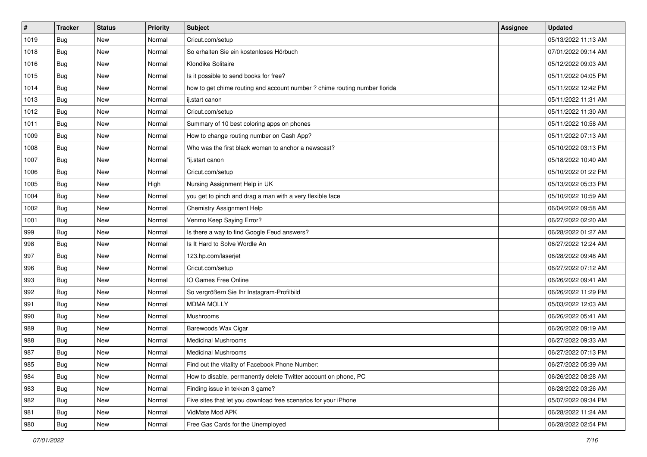| $\vert$ # | <b>Tracker</b> | <b>Status</b> | <b>Priority</b> | <b>Subject</b>                                                             | <b>Assignee</b> | <b>Updated</b>      |
|-----------|----------------|---------------|-----------------|----------------------------------------------------------------------------|-----------------|---------------------|
| 1019      | Bug            | New           | Normal          | Cricut.com/setup                                                           |                 | 05/13/2022 11:13 AM |
| 1018      | Bug            | New           | Normal          | So erhalten Sie ein kostenloses Hörbuch                                    |                 | 07/01/2022 09:14 AM |
| 1016      | Bug            | New           | Normal          | Klondike Solitaire                                                         |                 | 05/12/2022 09:03 AM |
| 1015      | <b>Bug</b>     | <b>New</b>    | Normal          | Is it possible to send books for free?                                     |                 | 05/11/2022 04:05 PM |
| 1014      | Bug            | <b>New</b>    | Normal          | how to get chime routing and account number ? chime routing number florida |                 | 05/11/2022 12:42 PM |
| 1013      | Bug            | New           | Normal          | ij.start canon                                                             |                 | 05/11/2022 11:31 AM |
| 1012      | Bug            | New           | Normal          | Cricut.com/setup                                                           |                 | 05/11/2022 11:30 AM |
| 1011      | Bug            | New           | Normal          | Summary of 10 best coloring apps on phones                                 |                 | 05/11/2022 10:58 AM |
| 1009      | Bug            | New           | Normal          | How to change routing number on Cash App?                                  |                 | 05/11/2022 07:13 AM |
| 1008      | Bug            | <b>New</b>    | Normal          | Who was the first black woman to anchor a newscast?                        |                 | 05/10/2022 03:13 PM |
| 1007      | Bug            | New           | Normal          | "ij.start canon                                                            |                 | 05/18/2022 10:40 AM |
| 1006      | Bug            | New           | Normal          | Cricut.com/setup                                                           |                 | 05/10/2022 01:22 PM |
| 1005      | Bug            | <b>New</b>    | High            | Nursing Assignment Help in UK                                              |                 | 05/13/2022 05:33 PM |
| 1004      | Bug            | <b>New</b>    | Normal          | you get to pinch and drag a man with a very flexible face                  |                 | 05/10/2022 10:59 AM |
| 1002      | Bug            | <b>New</b>    | Normal          | <b>Chemistry Assignment Help</b>                                           |                 | 06/04/2022 09:58 AM |
| 1001      | Bug            | New           | Normal          | Venmo Keep Saying Error?                                                   |                 | 06/27/2022 02:20 AM |
| 999       | <b>Bug</b>     | <b>New</b>    | Normal          | Is there a way to find Google Feud answers?                                |                 | 06/28/2022 01:27 AM |
| 998       | Bug            | <b>New</b>    | Normal          | Is It Hard to Solve Wordle An                                              |                 | 06/27/2022 12:24 AM |
| 997       | <b>Bug</b>     | New           | Normal          | 123.hp.com/laserjet                                                        |                 | 06/28/2022 09:48 AM |
| 996       | <b>Bug</b>     | New           | Normal          | Cricut.com/setup                                                           |                 | 06/27/2022 07:12 AM |
| 993       | Bug            | New           | Normal          | IO Games Free Online                                                       |                 | 06/26/2022 09:41 AM |
| 992       | Bug            | New           | Normal          | So vergrößern Sie Ihr Instagram-Profilbild                                 |                 | 06/26/2022 11:29 PM |
| 991       | Bug            | <b>New</b>    | Normal          | <b>MDMA MOLLY</b>                                                          |                 | 05/03/2022 12:03 AM |
| 990       | <b>Bug</b>     | New           | Normal          | Mushrooms                                                                  |                 | 06/26/2022 05:41 AM |
| 989       | Bug            | New           | Normal          | Barewoods Wax Cigar                                                        |                 | 06/26/2022 09:19 AM |
| 988       | Bug            | <b>New</b>    | Normal          | <b>Medicinal Mushrooms</b>                                                 |                 | 06/27/2022 09:33 AM |
| 987       | <b>Bug</b>     | New           | Normal          | <b>Medicinal Mushrooms</b>                                                 |                 | 06/27/2022 07:13 PM |
| 985       | Bug            | New           | Normal          | Find out the vitality of Facebook Phone Number:                            |                 | 06/27/2022 05:39 AM |
| 984       | <b>Bug</b>     | New           | Normal          | How to disable, permanently delete Twitter account on phone, PC            |                 | 06/26/2022 08:28 AM |
| 983       | <b>Bug</b>     | New           | Normal          | Finding issue in tekken 3 game?                                            |                 | 06/28/2022 03:26 AM |
| 982       | <b>Bug</b>     | New           | Normal          | Five sites that let you download free scenarios for your iPhone            |                 | 05/07/2022 09:34 PM |
| 981       | <b>Bug</b>     | New           | Normal          | VidMate Mod APK                                                            |                 | 06/28/2022 11:24 AM |
| 980       | <b>Bug</b>     | New           | Normal          | Free Gas Cards for the Unemployed                                          |                 | 06/28/2022 02:54 PM |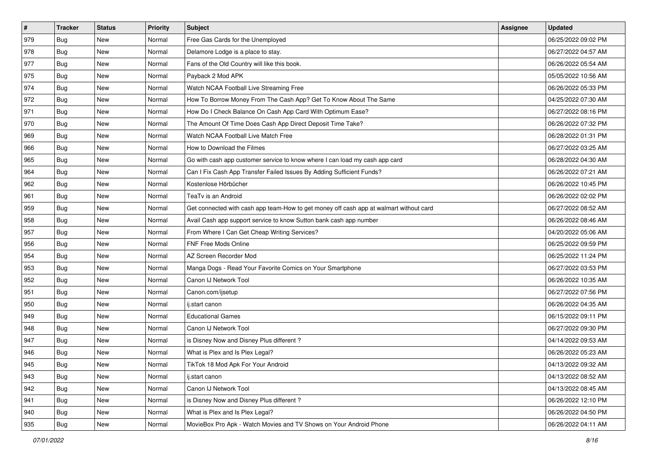| $\sharp$ | <b>Tracker</b> | <b>Status</b> | <b>Priority</b> | Subject                                                                                | <b>Assignee</b> | <b>Updated</b>      |
|----------|----------------|---------------|-----------------|----------------------------------------------------------------------------------------|-----------------|---------------------|
| 979      | Bug            | New           | Normal          | Free Gas Cards for the Unemployed                                                      |                 | 06/25/2022 09:02 PM |
| 978      | Bug            | New           | Normal          | Delamore Lodge is a place to stay.                                                     |                 | 06/27/2022 04:57 AM |
| 977      | Bug            | New           | Normal          | Fans of the Old Country will like this book.                                           |                 | 06/26/2022 05:54 AM |
| 975      | Bug            | New           | Normal          | Payback 2 Mod APK                                                                      |                 | 05/05/2022 10:56 AM |
| 974      | Bug            | New           | Normal          | Watch NCAA Football Live Streaming Free                                                |                 | 06/26/2022 05:33 PM |
| 972      | Bug            | New           | Normal          | How To Borrow Money From The Cash App? Get To Know About The Same                      |                 | 04/25/2022 07:30 AM |
| 971      | Bug            | New           | Normal          | How Do I Check Balance On Cash App Card With Optimum Ease?                             |                 | 06/27/2022 08:16 PM |
| 970      | Bug            | New           | Normal          | The Amount Of Time Does Cash App Direct Deposit Time Take?                             |                 | 06/26/2022 07:32 PM |
| 969      | Bug            | New           | Normal          | Watch NCAA Football Live Match Free                                                    |                 | 06/28/2022 01:31 PM |
| 966      | Bug            | New           | Normal          | How to Download the Filmes                                                             |                 | 06/27/2022 03:25 AM |
| 965      | <b>Bug</b>     | New           | Normal          | Go with cash app customer service to know where I can load my cash app card            |                 | 06/28/2022 04:30 AM |
| 964      | Bug            | New           | Normal          | Can I Fix Cash App Transfer Failed Issues By Adding Sufficient Funds?                  |                 | 06/26/2022 07:21 AM |
| 962      | Bug            | New           | Normal          | Kostenlose Hörbücher                                                                   |                 | 06/26/2022 10:45 PM |
| 961      | Bug            | New           | Normal          | TeaTv is an Android                                                                    |                 | 06/26/2022 02:02 PM |
| 959      | <b>Bug</b>     | New           | Normal          | Get connected with cash app team-How to get money off cash app at walmart without card |                 | 06/27/2022 08:52 AM |
| 958      | Bug            | New           | Normal          | Avail Cash app support service to know Sutton bank cash app number                     |                 | 06/26/2022 08:46 AM |
| 957      | Bug            | New           | Normal          | From Where I Can Get Cheap Writing Services?                                           |                 | 04/20/2022 05:06 AM |
| 956      | <b>Bug</b>     | New           | Normal          | <b>FNF Free Mods Online</b>                                                            |                 | 06/25/2022 09:59 PM |
| 954      | Bug            | New           | Normal          | AZ Screen Recorder Mod                                                                 |                 | 06/25/2022 11:24 PM |
| 953      | <b>Bug</b>     | New           | Normal          | Manga Dogs - Read Your Favorite Comics on Your Smartphone                              |                 | 06/27/2022 03:53 PM |
| 952      | Bug            | New           | Normal          | Canon IJ Network Tool                                                                  |                 | 06/26/2022 10:35 AM |
| 951      | Bug            | New           | Normal          | Canon.com/ijsetup                                                                      |                 | 06/27/2022 07:56 PM |
| 950      | <b>Bug</b>     | New           | Normal          | ij.start canon                                                                         |                 | 06/26/2022 04:35 AM |
| 949      | <b>Bug</b>     | New           | Normal          | <b>Educational Games</b>                                                               |                 | 06/15/2022 09:11 PM |
| 948      | Bug            | New           | Normal          | Canon IJ Network Tool                                                                  |                 | 06/27/2022 09:30 PM |
| 947      | Bug            | New           | Normal          | is Disney Now and Disney Plus different?                                               |                 | 04/14/2022 09:53 AM |
| 946      | Bug            | New           | Normal          | What is Plex and Is Plex Legal?                                                        |                 | 06/26/2022 05:23 AM |
| 945      | <b>Bug</b>     | New           | Normal          | TikTok 18 Mod Apk For Your Android                                                     |                 | 04/13/2022 09:32 AM |
| 943      | Bug            | New           | Normal          | ij.start canon                                                                         |                 | 04/13/2022 08:52 AM |
| 942      | Bug            | New           | Normal          | Canon IJ Network Tool                                                                  |                 | 04/13/2022 08:45 AM |
| 941      | Bug            | New           | Normal          | is Disney Now and Disney Plus different?                                               |                 | 06/26/2022 12:10 PM |
| 940      | <b>Bug</b>     | New           | Normal          | What is Plex and Is Plex Legal?                                                        |                 | 06/26/2022 04:50 PM |
| 935      | <b>Bug</b>     | New           | Normal          | MovieBox Pro Apk - Watch Movies and TV Shows on Your Android Phone                     |                 | 06/26/2022 04:11 AM |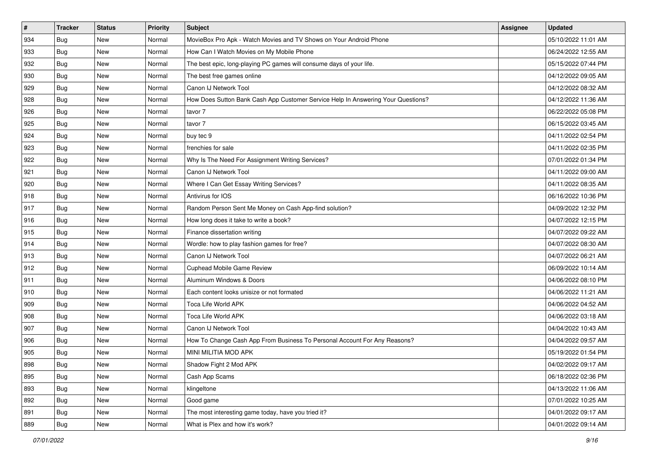| #   | <b>Tracker</b> | <b>Status</b> | <b>Priority</b> | <b>Subject</b>                                                                   | <b>Assignee</b> | <b>Updated</b>      |
|-----|----------------|---------------|-----------------|----------------------------------------------------------------------------------|-----------------|---------------------|
| 934 | Bug            | New           | Normal          | MovieBox Pro Apk - Watch Movies and TV Shows on Your Android Phone               |                 | 05/10/2022 11:01 AM |
| 933 | <b>Bug</b>     | New           | Normal          | How Can I Watch Movies on My Mobile Phone                                        |                 | 06/24/2022 12:55 AM |
| 932 | Bug            | New           | Normal          | The best epic, long-playing PC games will consume days of your life.             |                 | 05/15/2022 07:44 PM |
| 930 | Bug            | New           | Normal          | The best free games online                                                       |                 | 04/12/2022 09:05 AM |
| 929 | Bug            | New           | Normal          | Canon IJ Network Tool                                                            |                 | 04/12/2022 08:32 AM |
| 928 | Bug            | New           | Normal          | How Does Sutton Bank Cash App Customer Service Help In Answering Your Questions? |                 | 04/12/2022 11:36 AM |
| 926 | Bug            | New           | Normal          | tavor 7                                                                          |                 | 06/22/2022 05:08 PM |
| 925 | Bug            | New           | Normal          | tavor 7                                                                          |                 | 06/15/2022 03:45 AM |
| 924 | Bug            | New           | Normal          | buy tec 9                                                                        |                 | 04/11/2022 02:54 PM |
| 923 | Bug            | New           | Normal          | frenchies for sale                                                               |                 | 04/11/2022 02:35 PM |
| 922 | <b>Bug</b>     | New           | Normal          | Why Is The Need For Assignment Writing Services?                                 |                 | 07/01/2022 01:34 PM |
| 921 | Bug            | New           | Normal          | Canon IJ Network Tool                                                            |                 | 04/11/2022 09:00 AM |
| 920 | Bug            | New           | Normal          | Where I Can Get Essay Writing Services?                                          |                 | 04/11/2022 08:35 AM |
| 918 | <b>Bug</b>     | New           | Normal          | Antivirus for IOS                                                                |                 | 06/16/2022 10:36 PM |
| 917 | Bug            | New           | Normal          | Random Person Sent Me Money on Cash App-find solution?                           |                 | 04/09/2022 12:32 PM |
| 916 | Bug            | New           | Normal          | How long does it take to write a book?                                           |                 | 04/07/2022 12:15 PM |
| 915 | Bug            | New           | Normal          | Finance dissertation writing                                                     |                 | 04/07/2022 09:22 AM |
| 914 | <b>Bug</b>     | New           | Normal          | Wordle: how to play fashion games for free?                                      |                 | 04/07/2022 08:30 AM |
| 913 | Bug            | New           | Normal          | Canon IJ Network Tool                                                            |                 | 04/07/2022 06:21 AM |
| 912 | Bug            | New           | Normal          | Cuphead Mobile Game Review                                                       |                 | 06/09/2022 10:14 AM |
| 911 | Bug            | New           | Normal          | Aluminum Windows & Doors                                                         |                 | 04/06/2022 08:10 PM |
| 910 | Bug            | New           | Normal          | Each content looks unisize or not formated                                       |                 | 04/06/2022 11:21 AM |
| 909 | <b>Bug</b>     | New           | Normal          | Toca Life World APK                                                              |                 | 04/06/2022 04:52 AM |
| 908 | <b>Bug</b>     | New           | Normal          | Toca Life World APK                                                              |                 | 04/06/2022 03:18 AM |
| 907 | Bug            | New           | Normal          | Canon IJ Network Tool                                                            |                 | 04/04/2022 10:43 AM |
| 906 | Bug            | New           | Normal          | How To Change Cash App From Business To Personal Account For Any Reasons?        |                 | 04/04/2022 09:57 AM |
| 905 | Bug            | New           | Normal          | MINI MILITIA MOD APK                                                             |                 | 05/19/2022 01:54 PM |
| 898 | <b>Bug</b>     | New           | Normal          | Shadow Fight 2 Mod APK                                                           |                 | 04/02/2022 09:17 AM |
| 895 | Bug            | New           | Normal          | Cash App Scams                                                                   |                 | 06/18/2022 02:36 PM |
| 893 | Bug            | New           | Normal          | klingeltone                                                                      |                 | 04/13/2022 11:06 AM |
| 892 | Bug            | New           | Normal          | Good game                                                                        |                 | 07/01/2022 10:25 AM |
| 891 | Bug            | New           | Normal          | The most interesting game today, have you tried it?                              |                 | 04/01/2022 09:17 AM |
| 889 | <b>Bug</b>     | New           | Normal          | What is Plex and how it's work?                                                  |                 | 04/01/2022 09:14 AM |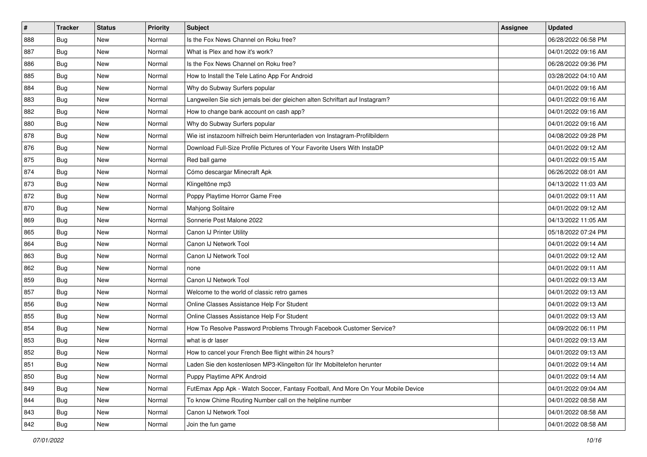| $\sharp$ | <b>Tracker</b> | <b>Status</b> | <b>Priority</b> | Subject                                                                          | <b>Assignee</b> | <b>Updated</b>      |
|----------|----------------|---------------|-----------------|----------------------------------------------------------------------------------|-----------------|---------------------|
| 888      | Bug            | New           | Normal          | Is the Fox News Channel on Roku free?                                            |                 | 06/28/2022 06:58 PM |
| 887      | Bug            | New           | Normal          | What is Plex and how it's work?                                                  |                 | 04/01/2022 09:16 AM |
| 886      | Bug            | New           | Normal          | Is the Fox News Channel on Roku free?                                            |                 | 06/28/2022 09:36 PM |
| 885      | Bug            | New           | Normal          | How to Install the Tele Latino App For Android                                   |                 | 03/28/2022 04:10 AM |
| 884      | Bug            | New           | Normal          | Why do Subway Surfers popular                                                    |                 | 04/01/2022 09:16 AM |
| 883      | Bug            | New           | Normal          | Langweilen Sie sich jemals bei der gleichen alten Schriftart auf Instagram?      |                 | 04/01/2022 09:16 AM |
| 882      | Bug            | New           | Normal          | How to change bank account on cash app?                                          |                 | 04/01/2022 09:16 AM |
| 880      | Bug            | New           | Normal          | Why do Subway Surfers popular                                                    |                 | 04/01/2022 09:16 AM |
| 878      | Bug            | New           | Normal          | Wie ist instazoom hilfreich beim Herunterladen von Instagram-Profilbildern       |                 | 04/08/2022 09:28 PM |
| 876      | Bug            | New           | Normal          | Download Full-Size Profile Pictures of Your Favorite Users With InstaDP          |                 | 04/01/2022 09:12 AM |
| 875      | <b>Bug</b>     | New           | Normal          | Red ball game                                                                    |                 | 04/01/2022 09:15 AM |
| 874      | Bug            | New           | Normal          | Cómo descargar Minecraft Apk                                                     |                 | 06/26/2022 08:01 AM |
| 873      | Bug            | New           | Normal          | Klingeltöne mp3                                                                  |                 | 04/13/2022 11:03 AM |
| 872      | <b>Bug</b>     | New           | Normal          | Poppy Playtime Horror Game Free                                                  |                 | 04/01/2022 09:11 AM |
| 870      | Bug            | New           | Normal          | Mahjong Solitaire                                                                |                 | 04/01/2022 09:12 AM |
| 869      | Bug            | New           | Normal          | Sonnerie Post Malone 2022                                                        |                 | 04/13/2022 11:05 AM |
| 865      | Bug            | New           | Normal          | Canon IJ Printer Utility                                                         |                 | 05/18/2022 07:24 PM |
| 864      | <b>Bug</b>     | New           | Normal          | Canon IJ Network Tool                                                            |                 | 04/01/2022 09:14 AM |
| 863      | Bug            | New           | Normal          | Canon IJ Network Tool                                                            |                 | 04/01/2022 09:12 AM |
| 862      | Bug            | New           | Normal          | none                                                                             |                 | 04/01/2022 09:11 AM |
| 859      | Bug            | New           | Normal          | Canon IJ Network Tool                                                            |                 | 04/01/2022 09:13 AM |
| 857      | Bug            | New           | Normal          | Welcome to the world of classic retro games                                      |                 | 04/01/2022 09:13 AM |
| 856      | <b>Bug</b>     | <b>New</b>    | Normal          | Online Classes Assistance Help For Student                                       |                 | 04/01/2022 09:13 AM |
| 855      | <b>Bug</b>     | New           | Normal          | Online Classes Assistance Help For Student                                       |                 | 04/01/2022 09:13 AM |
| 854      | Bug            | New           | Normal          | How To Resolve Password Problems Through Facebook Customer Service?              |                 | 04/09/2022 06:11 PM |
| 853      | Bug            | New           | Normal          | what is dr laser                                                                 |                 | 04/01/2022 09:13 AM |
| 852      | Bug            | New           | Normal          | How to cancel your French Bee flight within 24 hours?                            |                 | 04/01/2022 09:13 AM |
| 851      | <b>Bug</b>     | New           | Normal          | Laden Sie den kostenlosen MP3-Klingelton für Ihr Mobiltelefon herunter           |                 | 04/01/2022 09:14 AM |
| 850      | Bug            | New           | Normal          | Puppy Playtime APK Android                                                       |                 | 04/01/2022 09:14 AM |
| 849      | Bug            | New           | Normal          | FutEmax App Apk - Watch Soccer, Fantasy Football, And More On Your Mobile Device |                 | 04/01/2022 09:04 AM |
| 844      | Bug            | New           | Normal          | To know Chime Routing Number call on the helpline number                         |                 | 04/01/2022 08:58 AM |
| 843      | Bug            | New           | Normal          | Canon IJ Network Tool                                                            |                 | 04/01/2022 08:58 AM |
| 842      | <b>Bug</b>     | New           | Normal          | Join the fun game                                                                |                 | 04/01/2022 08:58 AM |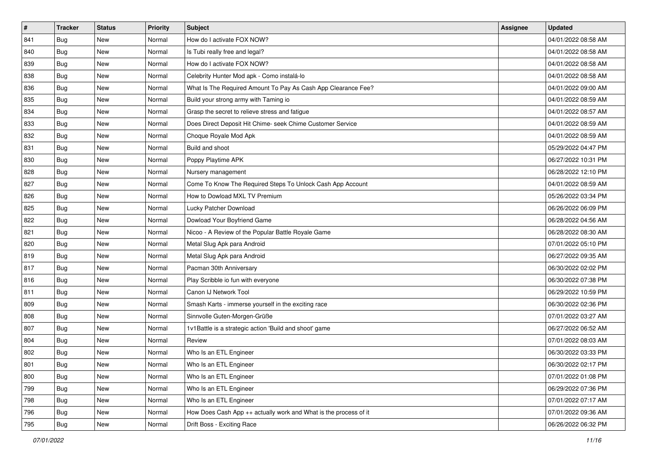| $\sharp$ | <b>Tracker</b> | <b>Status</b> | <b>Priority</b> | <b>Subject</b>                                                   | <b>Assignee</b> | <b>Updated</b>      |
|----------|----------------|---------------|-----------------|------------------------------------------------------------------|-----------------|---------------------|
| 841      | Bug            | New           | Normal          | How do I activate FOX NOW?                                       |                 | 04/01/2022 08:58 AM |
| 840      | Bug            | New           | Normal          | Is Tubi really free and legal?                                   |                 | 04/01/2022 08:58 AM |
| 839      | Bug            | New           | Normal          | How do I activate FOX NOW?                                       |                 | 04/01/2022 08:58 AM |
| 838      | Bug            | New           | Normal          | Celebrity Hunter Mod apk - Como instalá-lo                       |                 | 04/01/2022 08:58 AM |
| 836      | Bug            | <b>New</b>    | Normal          | What Is The Required Amount To Pay As Cash App Clearance Fee?    |                 | 04/01/2022 09:00 AM |
| 835      | Bug            | New           | Normal          | Build your strong army with Taming io                            |                 | 04/01/2022 08:59 AM |
| 834      | Bug            | New           | Normal          | Grasp the secret to relieve stress and fatigue                   |                 | 04/01/2022 08:57 AM |
| 833      | Bug            | New           | Normal          | Does Direct Deposit Hit Chime- seek Chime Customer Service       |                 | 04/01/2022 08:59 AM |
| 832      | Bug            | New           | Normal          | Choque Royale Mod Apk                                            |                 | 04/01/2022 08:59 AM |
| 831      | Bug            | New           | Normal          | Build and shoot                                                  |                 | 05/29/2022 04:47 PM |
| 830      | <b>Bug</b>     | New           | Normal          | Poppy Playtime APK                                               |                 | 06/27/2022 10:31 PM |
| 828      | Bug            | New           | Normal          | Nursery management                                               |                 | 06/28/2022 12:10 PM |
| 827      | Bug            | New           | Normal          | Come To Know The Required Steps To Unlock Cash App Account       |                 | 04/01/2022 08:59 AM |
| 826      | Bug            | New           | Normal          | How to Dowload MXL TV Premium                                    |                 | 05/26/2022 03:34 PM |
| 825      | Bug            | New           | Normal          | Lucky Patcher Download                                           |                 | 06/26/2022 06:09 PM |
| 822      | Bug            | New           | Normal          | Dowload Your Boyfriend Game                                      |                 | 06/28/2022 04:56 AM |
| 821      | Bug            | New           | Normal          | Nicoo - A Review of the Popular Battle Royale Game               |                 | 06/28/2022 08:30 AM |
| 820      | Bug            | New           | Normal          | Metal Slug Apk para Android                                      |                 | 07/01/2022 05:10 PM |
| 819      | Bug            | New           | Normal          | Metal Slug Apk para Android                                      |                 | 06/27/2022 09:35 AM |
| 817      | Bug            | New           | Normal          | Pacman 30th Anniversary                                          |                 | 06/30/2022 02:02 PM |
| 816      | Bug            | New           | Normal          | Play Scribble io fun with everyone                               |                 | 06/30/2022 07:38 PM |
| 811      | Bug            | New           | Normal          | Canon IJ Network Tool                                            |                 | 06/29/2022 10:59 PM |
| 809      | <b>Bug</b>     | New           | Normal          | Smash Karts - immerse yourself in the exciting race              |                 | 06/30/2022 02:36 PM |
| 808      | <b>Bug</b>     | New           | Normal          | Sinnvolle Guten-Morgen-Grüße                                     |                 | 07/01/2022 03:27 AM |
| 807      | Bug            | New           | Normal          | 1v1Battle is a strategic action 'Build and shoot' game           |                 | 06/27/2022 06:52 AM |
| 804      | Bug            | New           | Normal          | Review                                                           |                 | 07/01/2022 08:03 AM |
| 802      | Bug            | New           | Normal          | Who Is an ETL Engineer                                           |                 | 06/30/2022 03:33 PM |
| 801      | Bug            | New           | Normal          | Who Is an ETL Engineer                                           |                 | 06/30/2022 02:17 PM |
| 800      | Bug            | New           | Normal          | Who Is an ETL Engineer                                           |                 | 07/01/2022 01:08 PM |
| 799      | Bug            | New           | Normal          | Who Is an ETL Engineer                                           |                 | 06/29/2022 07:36 PM |
| 798      | Bug            | New           | Normal          | Who Is an ETL Engineer                                           |                 | 07/01/2022 07:17 AM |
| 796      | <b>Bug</b>     | New           | Normal          | How Does Cash App ++ actually work and What is the process of it |                 | 07/01/2022 09:36 AM |
| 795      | <b>Bug</b>     | New           | Normal          | Drift Boss - Exciting Race                                       |                 | 06/26/2022 06:32 PM |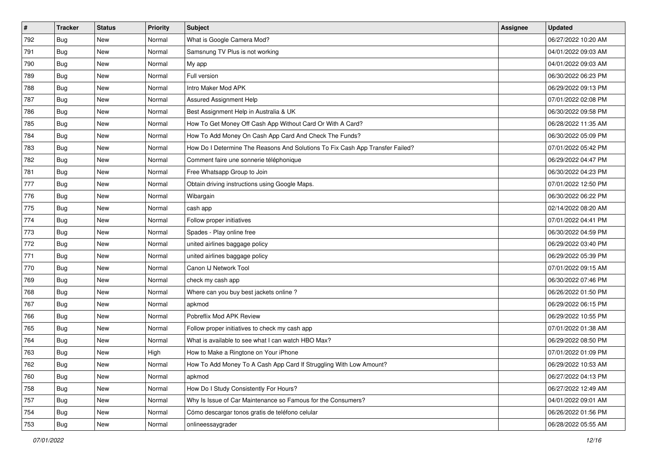| $\sharp$ | <b>Tracker</b> | <b>Status</b> | <b>Priority</b> | <b>Subject</b>                                                                | <b>Assignee</b> | <b>Updated</b>      |
|----------|----------------|---------------|-----------------|-------------------------------------------------------------------------------|-----------------|---------------------|
| 792      | Bug            | New           | Normal          | What is Google Camera Mod?                                                    |                 | 06/27/2022 10:20 AM |
| 791      | Bug            | New           | Normal          | Samsnung TV Plus is not working                                               |                 | 04/01/2022 09:03 AM |
| 790      | Bug            | New           | Normal          | My app                                                                        |                 | 04/01/2022 09:03 AM |
| 789      | Bug            | New           | Normal          | Full version                                                                  |                 | 06/30/2022 06:23 PM |
| 788      | Bug            | <b>New</b>    | Normal          | Intro Maker Mod APK                                                           |                 | 06/29/2022 09:13 PM |
| 787      | Bug            | New           | Normal          | Assured Assignment Help                                                       |                 | 07/01/2022 02:08 PM |
| 786      | Bug            | New           | Normal          | Best Assignment Help in Australia & UK                                        |                 | 06/30/2022 09:58 PM |
| 785      | Bug            | New           | Normal          | How To Get Money Off Cash App Without Card Or With A Card?                    |                 | 06/28/2022 11:35 AM |
| 784      | Bug            | New           | Normal          | How To Add Money On Cash App Card And Check The Funds?                        |                 | 06/30/2022 05:09 PM |
| 783      | Bug            | New           | Normal          | How Do I Determine The Reasons And Solutions To Fix Cash App Transfer Failed? |                 | 07/01/2022 05:42 PM |
| 782      | <b>Bug</b>     | New           | Normal          | Comment faire une sonnerie téléphonique                                       |                 | 06/29/2022 04:47 PM |
| 781      | Bug            | New           | Normal          | Free Whatsapp Group to Join                                                   |                 | 06/30/2022 04:23 PM |
| 777      | Bug            | New           | Normal          | Obtain driving instructions using Google Maps.                                |                 | 07/01/2022 12:50 PM |
| 776      | <b>Bug</b>     | New           | Normal          | Wibargain                                                                     |                 | 06/30/2022 06:22 PM |
| 775      | <b>Bug</b>     | New           | Normal          | cash app                                                                      |                 | 02/14/2022 08:20 AM |
| 774      | Bug            | New           | Normal          | Follow proper initiatives                                                     |                 | 07/01/2022 04:41 PM |
| 773      | Bug            | New           | Normal          | Spades - Play online free                                                     |                 | 06/30/2022 04:59 PM |
| 772      | Bug            | New           | Normal          | united airlines baggage policy                                                |                 | 06/29/2022 03:40 PM |
| 771      | Bug            | New           | Normal          | united airlines baggage policy                                                |                 | 06/29/2022 05:39 PM |
| 770      | Bug            | New           | Normal          | Canon IJ Network Tool                                                         |                 | 07/01/2022 09:15 AM |
| 769      | Bug            | New           | Normal          | check my cash app                                                             |                 | 06/30/2022 07:46 PM |
| 768      | Bug            | New           | Normal          | Where can you buy best jackets online?                                        |                 | 06/26/2022 01:50 PM |
| 767      | <b>Bug</b>     | <b>New</b>    | Normal          | apkmod                                                                        |                 | 06/29/2022 06:15 PM |
| 766      | <b>Bug</b>     | New           | Normal          | Pobreflix Mod APK Review                                                      |                 | 06/29/2022 10:55 PM |
| 765      | Bug            | New           | Normal          | Follow proper initiatives to check my cash app                                |                 | 07/01/2022 01:38 AM |
| 764      | Bug            | New           | Normal          | What is available to see what I can watch HBO Max?                            |                 | 06/29/2022 08:50 PM |
| 763      | Bug            | New           | High            | How to Make a Ringtone on Your iPhone                                         |                 | 07/01/2022 01:09 PM |
| 762      | I Bug          | New           | Normal          | How To Add Money To A Cash App Card If Struggling With Low Amount?            |                 | 06/29/2022 10:53 AM |
| 760      | Bug            | New           | Normal          | apkmod                                                                        |                 | 06/27/2022 04:13 PM |
| 758      | Bug            | New           | Normal          | How Do I Study Consistently For Hours?                                        |                 | 06/27/2022 12:49 AM |
| 757      | Bug            | New           | Normal          | Why Is Issue of Car Maintenance so Famous for the Consumers?                  |                 | 04/01/2022 09:01 AM |
| 754      | <b>Bug</b>     | New           | Normal          | Cómo descargar tonos gratis de teléfono celular                               |                 | 06/26/2022 01:56 PM |
| 753      | <b>Bug</b>     | New           | Normal          | onlineessaygrader                                                             |                 | 06/28/2022 05:55 AM |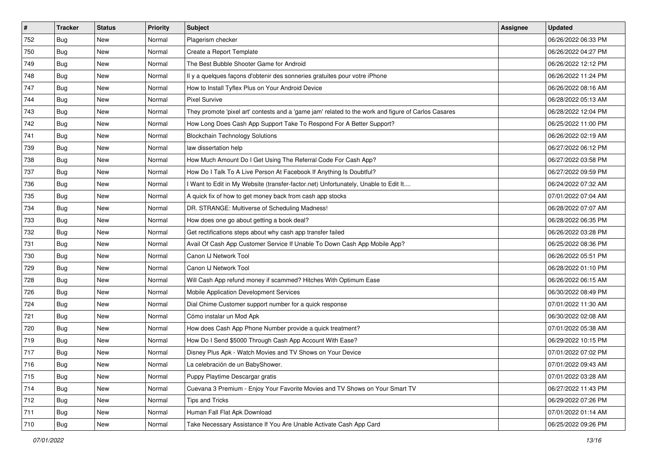| #   | <b>Tracker</b> | <b>Status</b> | <b>Priority</b> | Subject                                                                                             | <b>Assignee</b> | <b>Updated</b>      |
|-----|----------------|---------------|-----------------|-----------------------------------------------------------------------------------------------------|-----------------|---------------------|
| 752 | Bug            | New           | Normal          | Plagerism checker                                                                                   |                 | 06/26/2022 06:33 PM |
| 750 | Bug            | New           | Normal          | Create a Report Template                                                                            |                 | 06/26/2022 04:27 PM |
| 749 | Bug            | New           | Normal          | The Best Bubble Shooter Game for Android                                                            |                 | 06/26/2022 12:12 PM |
| 748 | Bug            | New           | Normal          | Il y a quelques façons d'obtenir des sonneries gratuites pour votre iPhone                          |                 | 06/26/2022 11:24 PM |
| 747 | Bug            | New           | Normal          | How to Install Tyflex Plus on Your Android Device                                                   |                 | 06/26/2022 08:16 AM |
| 744 | Bug            | New           | Normal          | <b>Pixel Survive</b>                                                                                |                 | 06/28/2022 05:13 AM |
| 743 | Bug            | New           | Normal          | They promote 'pixel art' contests and a 'game jam' related to the work and figure of Carlos Casares |                 | 06/28/2022 12:04 PM |
| 742 | Bug            | New           | Normal          | How Long Does Cash App Support Take To Respond For A Better Support?                                |                 | 06/25/2022 11:00 PM |
| 741 | Bug            | New           | Normal          | <b>Blockchain Technology Solutions</b>                                                              |                 | 06/26/2022 02:19 AM |
| 739 | Bug            | New           | Normal          | law dissertation help                                                                               |                 | 06/27/2022 06:12 PM |
| 738 | <b>Bug</b>     | New           | Normal          | How Much Amount Do I Get Using The Referral Code For Cash App?                                      |                 | 06/27/2022 03:58 PM |
| 737 | Bug            | New           | Normal          | How Do I Talk To A Live Person At Facebook If Anything Is Doubtful?                                 |                 | 06/27/2022 09:59 PM |
| 736 | Bug            | New           | Normal          | I Want to Edit in My Website (transfer-factor.net) Unfortunately, Unable to Edit It                 |                 | 06/24/2022 07:32 AM |
| 735 | Bug            | <b>New</b>    | Normal          | A quick fix of how to get money back from cash app stocks                                           |                 | 07/01/2022 07:04 AM |
| 734 | <b>Bug</b>     | New           | Normal          | DR. STRANGE: Multiverse of Scheduling Madness!                                                      |                 | 06/28/2022 07:07 AM |
| 733 | Bug            | New           | Normal          | How does one go about getting a book deal?                                                          |                 | 06/28/2022 06:35 PM |
| 732 | Bug            | New           | Normal          | Get rectifications steps about why cash app transfer failed                                         |                 | 06/26/2022 03:28 PM |
| 731 | Bug            | New           | Normal          | Avail Of Cash App Customer Service If Unable To Down Cash App Mobile App?                           |                 | 06/25/2022 08:36 PM |
| 730 | Bug            | New           | Normal          | Canon IJ Network Tool                                                                               |                 | 06/26/2022 05:51 PM |
| 729 | Bug            | New           | Normal          | Canon IJ Network Tool                                                                               |                 | 06/28/2022 01:10 PM |
| 728 | Bug            | New           | Normal          | Will Cash App refund money if scammed? Hitches With Optimum Ease                                    |                 | 06/26/2022 06:15 AM |
| 726 | Bug            | New           | Normal          | Mobile Application Development Services                                                             |                 | 06/30/2022 08:49 PM |
| 724 | Bug            | <b>New</b>    | Normal          | Dial Chime Customer support number for a quick response                                             |                 | 07/01/2022 11:30 AM |
| 721 | <b>Bug</b>     | New           | Normal          | Cómo instalar un Mod Apk                                                                            |                 | 06/30/2022 02:08 AM |
| 720 | Bug            | New           | Normal          | How does Cash App Phone Number provide a quick treatment?                                           |                 | 07/01/2022 05:38 AM |
| 719 | Bug            | New           | Normal          | How Do I Send \$5000 Through Cash App Account With Ease?                                            |                 | 06/29/2022 10:15 PM |
| 717 | Bug            | New           | Normal          | Disney Plus Apk - Watch Movies and TV Shows on Your Device                                          |                 | 07/01/2022 07:02 PM |
| 716 | <b>Bug</b>     | New           | Normal          | La celebración de un BabyShower.                                                                    |                 | 07/01/2022 09:43 AM |
| 715 | <b>Bug</b>     | New           | Normal          | Puppy Playtime Descargar gratis                                                                     |                 | 07/01/2022 03:28 AM |
| 714 | <b>Bug</b>     | New           | Normal          | Cuevana 3 Premium - Enjoy Your Favorite Movies and TV Shows on Your Smart TV                        |                 | 06/27/2022 11:43 PM |
| 712 | <b>Bug</b>     | New           | Normal          | Tips and Tricks                                                                                     |                 | 06/29/2022 07:26 PM |
| 711 | <b>Bug</b>     | New           | Normal          | Human Fall Flat Apk Download                                                                        |                 | 07/01/2022 01:14 AM |
| 710 | <b>Bug</b>     | New           | Normal          | Take Necessary Assistance If You Are Unable Activate Cash App Card                                  |                 | 06/25/2022 09:26 PM |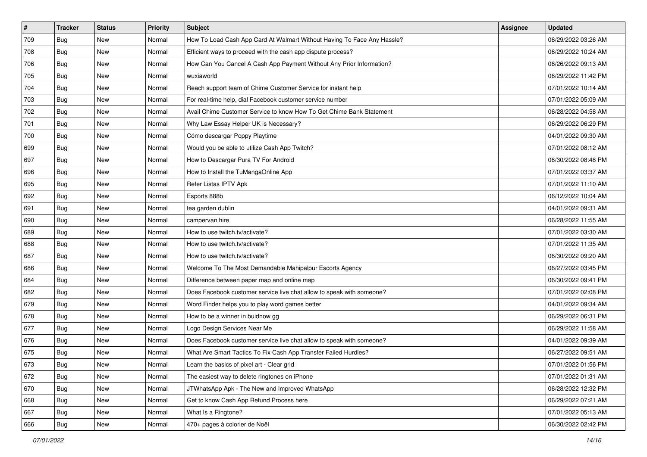| #   | <b>Tracker</b> | <b>Status</b> | <b>Priority</b> | <b>Subject</b>                                                          | Assignee | <b>Updated</b>      |
|-----|----------------|---------------|-----------------|-------------------------------------------------------------------------|----------|---------------------|
| 709 | Bug            | New           | Normal          | How To Load Cash App Card At Walmart Without Having To Face Any Hassle? |          | 06/29/2022 03:26 AM |
| 708 | Bug            | New           | Normal          | Efficient ways to proceed with the cash app dispute process?            |          | 06/29/2022 10:24 AM |
| 706 | Bug            | New           | Normal          | How Can You Cancel A Cash App Payment Without Any Prior Information?    |          | 06/26/2022 09:13 AM |
| 705 | Bug            | New           | Normal          | wuxiaworld                                                              |          | 06/29/2022 11:42 PM |
| 704 | Bug            | New           | Normal          | Reach support team of Chime Customer Service for instant help           |          | 07/01/2022 10:14 AM |
| 703 | Bug            | New           | Normal          | For real-time help, dial Facebook customer service number               |          | 07/01/2022 05:09 AM |
| 702 | Bug            | New           | Normal          | Avail Chime Customer Service to know How To Get Chime Bank Statement    |          | 06/28/2022 04:58 AM |
| 701 | Bug            | New           | Normal          | Why Law Essay Helper UK is Necessary?                                   |          | 06/29/2022 06:29 PM |
| 700 | Bug            | New           | Normal          | Cómo descargar Poppy Playtime                                           |          | 04/01/2022 09:30 AM |
| 699 | Bug            | New           | Normal          | Would you be able to utilize Cash App Twitch?                           |          | 07/01/2022 08:12 AM |
| 697 | Bug            | New           | Normal          | How to Descargar Pura TV For Android                                    |          | 06/30/2022 08:48 PM |
| 696 | Bug            | New           | Normal          | How to Install the TuMangaOnline App                                    |          | 07/01/2022 03:37 AM |
| 695 | Bug            | New           | Normal          | Refer Listas IPTV Apk                                                   |          | 07/01/2022 11:10 AM |
| 692 | Bug            | New           | Normal          | Esports 888b                                                            |          | 06/12/2022 10:04 AM |
| 691 | Bug            | New           | Normal          | tea garden dublin                                                       |          | 04/01/2022 09:31 AM |
| 690 | Bug            | New           | Normal          | campervan hire                                                          |          | 06/28/2022 11:55 AM |
| 689 | <b>Bug</b>     | New           | Normal          | How to use twitch.tv/activate?                                          |          | 07/01/2022 03:30 AM |
| 688 | <b>Bug</b>     | New           | Normal          | How to use twitch.tv/activate?                                          |          | 07/01/2022 11:35 AM |
| 687 | <b>Bug</b>     | New           | Normal          | How to use twitch.tv/activate?                                          |          | 06/30/2022 09:20 AM |
| 686 | Bug            | New           | Normal          | Welcome To The Most Demandable Mahipalpur Escorts Agency                |          | 06/27/2022 03:45 PM |
| 684 | Bug            | New           | Normal          | Difference between paper map and online map                             |          | 06/30/2022 09:41 PM |
| 682 | <b>Bug</b>     | New           | Normal          | Does Facebook customer service live chat allow to speak with someone?   |          | 07/01/2022 02:08 PM |
| 679 | <b>Bug</b>     | New           | Normal          | Word Finder helps you to play word games better                         |          | 04/01/2022 09:34 AM |
| 678 | <b>Bug</b>     | New           | Normal          | How to be a winner in buidnow gg                                        |          | 06/29/2022 06:31 PM |
| 677 | Bug            | New           | Normal          | Logo Design Services Near Me                                            |          | 06/29/2022 11:58 AM |
| 676 | Bug            | New           | Normal          | Does Facebook customer service live chat allow to speak with someone?   |          | 04/01/2022 09:39 AM |
| 675 | Bug            | New           | Normal          | What Are Smart Tactics To Fix Cash App Transfer Failed Hurdles?         |          | 06/27/2022 09:51 AM |
| 673 | <b>Bug</b>     | New           | Normal          | Learn the basics of pixel art - Clear grid                              |          | 07/01/2022 01:56 PM |
| 672 | <b>Bug</b>     | New           | Normal          | The easiest way to delete ringtones on iPhone                           |          | 07/01/2022 01:31 AM |
| 670 | Bug            | New           | Normal          | JTWhatsApp Apk - The New and Improved WhatsApp                          |          | 06/28/2022 12:32 PM |
| 668 | Bug            | New           | Normal          | Get to know Cash App Refund Process here                                |          | 06/29/2022 07:21 AM |
| 667 | Bug            | New           | Normal          | What Is a Ringtone?                                                     |          | 07/01/2022 05:13 AM |
| 666 | <b>Bug</b>     | New           | Normal          | 470+ pages à colorier de Noël                                           |          | 06/30/2022 02:42 PM |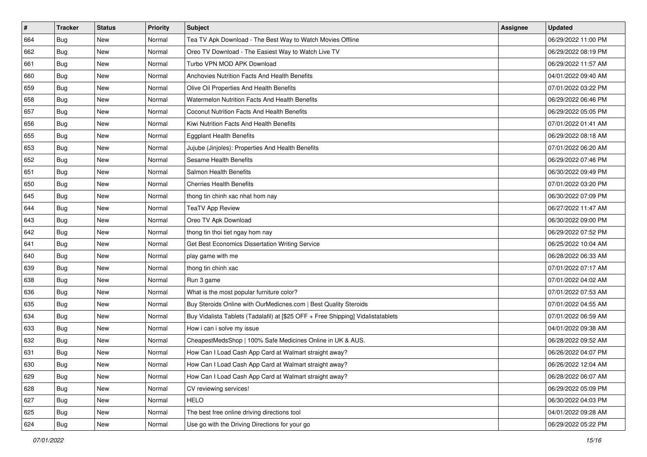| #   | <b>Tracker</b> | <b>Status</b> | <b>Priority</b> | <b>Subject</b>                                                                   | <b>Assignee</b> | <b>Updated</b>      |
|-----|----------------|---------------|-----------------|----------------------------------------------------------------------------------|-----------------|---------------------|
| 664 | Bug            | New           | Normal          | Tea TV Apk Download - The Best Way to Watch Movies Offline                       |                 | 06/29/2022 11:00 PM |
| 662 | Bug            | New           | Normal          | Oreo TV Download - The Easiest Way to Watch Live TV                              |                 | 06/29/2022 08:19 PM |
| 661 | Bug            | New           | Normal          | Turbo VPN MOD APK Download                                                       |                 | 06/29/2022 11:57 AM |
| 660 | Bug            | New           | Normal          | Anchovies Nutrition Facts And Health Benefits                                    |                 | 04/01/2022 09:40 AM |
| 659 | Bug            | <b>New</b>    | Normal          | Olive Oil Properties And Health Benefits                                         |                 | 07/01/2022 03:22 PM |
| 658 | Bug            | New           | Normal          | Watermelon Nutrition Facts And Health Benefits                                   |                 | 06/29/2022 06:46 PM |
| 657 | Bug            | New           | Normal          | Coconut Nutrition Facts And Health Benefits                                      |                 | 06/29/2022 05:05 PM |
| 656 | Bug            | New           | Normal          | Kiwi Nutrition Facts And Health Benefits                                         |                 | 07/01/2022 01:41 AM |
| 655 | Bug            | New           | Normal          | <b>Eggplant Health Benefits</b>                                                  |                 | 06/29/2022 08:18 AM |
| 653 | Bug            | New           | Normal          | Jujube (Jinjoles): Properties And Health Benefits                                |                 | 07/01/2022 06:20 AM |
| 652 | <b>Bug</b>     | New           | Normal          | Sesame Health Benefits                                                           |                 | 06/29/2022 07:46 PM |
| 651 | Bug            | New           | Normal          | Salmon Health Benefits                                                           |                 | 06/30/2022 09:49 PM |
| 650 | Bug            | New           | Normal          | <b>Cherries Health Benefits</b>                                                  |                 | 07/01/2022 03:20 PM |
| 645 | Bug            | New           | Normal          | thong tin chinh xac nhat hom nay                                                 |                 | 06/30/2022 07:09 PM |
| 644 | Bug            | New           | Normal          | <b>TeaTV App Review</b>                                                          |                 | 06/27/2022 11:47 AM |
| 643 | Bug            | New           | Normal          | Oreo TV Apk Download                                                             |                 | 06/30/2022 09:00 PM |
| 642 | Bug            | New           | Normal          | thong tin thoi tiet ngay hom nay                                                 |                 | 06/29/2022 07:52 PM |
| 641 | Bug            | New           | Normal          | Get Best Economics Dissertation Writing Service                                  |                 | 06/25/2022 10:04 AM |
| 640 | Bug            | New           | Normal          | play game with me                                                                |                 | 06/28/2022 06:33 AM |
| 639 | Bug            | New           | Normal          | thong tin chinh xac                                                              |                 | 07/01/2022 07:17 AM |
| 638 | Bug            | New           | Normal          | Run 3 game                                                                       |                 | 07/01/2022 04:02 AM |
| 636 | Bug            | New           | Normal          | What is the most popular furniture color?                                        |                 | 07/01/2022 07:53 AM |
| 635 | <b>Bug</b>     | New           | Normal          | Buy Steroids Online with OurMedicnes.com   Best Quality Steroids                 |                 | 07/01/2022 04:55 AM |
| 634 | <b>Bug</b>     | New           | Normal          | Buy Vidalista Tablets (Tadalafil) at [\$25 OFF + Free Shipping] Vidalistatablets |                 | 07/01/2022 06:59 AM |
| 633 | Bug            | New           | Normal          | How i can i solve my issue                                                       |                 | 04/01/2022 09:38 AM |
| 632 | Bug            | New           | Normal          | CheapestMedsShop   100% Safe Medicines Online in UK & AUS.                       |                 | 06/28/2022 09:52 AM |
| 631 | <b>Bug</b>     | New           | Normal          | How Can I Load Cash App Card at Walmart straight away?                           |                 | 06/26/2022 04:07 PM |
| 630 | i Bug          | New           | Normal          | How Can I Load Cash App Card at Walmart straight away?                           |                 | 06/26/2022 12:04 AM |
| 629 | <b>Bug</b>     | New           | Normal          | How Can I Load Cash App Card at Walmart straight away?                           |                 | 06/28/2022 06:07 AM |
| 628 | Bug            | New           | Normal          | CV reviewing services!                                                           |                 | 06/29/2022 05:09 PM |
| 627 | <b>Bug</b>     | New           | Normal          | <b>HELO</b>                                                                      |                 | 06/30/2022 04:03 PM |
| 625 | Bug            | New           | Normal          | The best free online driving directions tool                                     |                 | 04/01/2022 09:28 AM |
| 624 | <b>Bug</b>     | New           | Normal          | Use go with the Driving Directions for your go                                   |                 | 06/29/2022 05:22 PM |